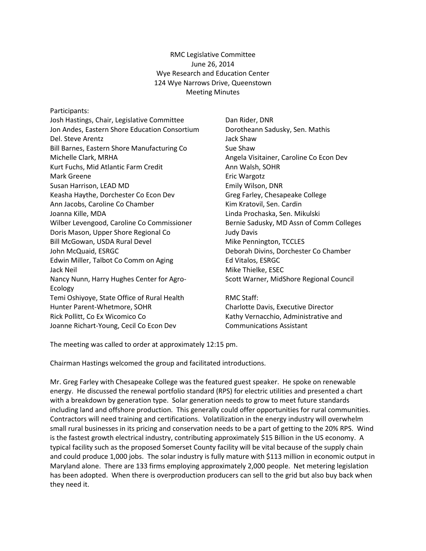RMC Legislative Committee June 26, 2014 Wye Research and Education Center 124 Wye Narrows Drive, Queenstown Meeting Minutes

Participants:

Josh Hastings, Chair, Legislative Committee Jon Andes, Eastern Shore Education Consortium Del. Steve Arentz Bill Barnes, Eastern Shore Manufacturing Co Michelle Clark, MRHA Kurt Fuchs, Mid Atlantic Farm Credit Mark Greene Susan Harrison, LEAD MD Keasha Haythe, Dorchester Co Econ Dev Ann Jacobs, Caroline Co Chamber Joanna Kille, MDA Wilber Levengood, Caroline Co Commissioner Doris Mason, Upper Shore Regional Co Bill McGowan, USDA Rural Devel John McQuaid, ESRGC Edwin Miller, Talbot Co Comm on Aging Jack Neil Nancy Nunn, Harry Hughes Center for Agro-Ecology Temi Oshiyoye, State Office of Rural Health Hunter Parent-Whetmore, SOHR Rick Pollitt, Co Ex Wicomico Co Joanne Richart-Young, Cecil Co Econ Dev

Dan Rider, DNR Dorotheann Sadusky, Sen. Mathis Jack Shaw Sue Shaw Angela Visitainer, Caroline Co Econ Dev Ann Walsh, SOHR Eric Wargotz Emily Wilson, DNR Greg Farley, Chesapeake College Kim Kratovil, Sen. Cardin Linda Prochaska, Sen. Mikulski Bernie Sadusky, MD Assn of Comm Colleges Judy Davis Mike Pennington, TCCLES Deborah Divins, Dorchester Co Chamber Ed Vitalos, ESRGC Mike Thielke, ESEC Scott Warner, MidShore Regional Council

RMC Staff: Charlotte Davis, Executive Director Kathy Vernacchio, Administrative and Communications Assistant

The meeting was called to order at approximately 12:15 pm.

Chairman Hastings welcomed the group and facilitated introductions.

Mr. Greg Farley with Chesapeake College was the featured guest speaker. He spoke on renewable energy. He discussed the renewal portfolio standard (RPS) for electric utilities and presented a chart with a breakdown by generation type. Solar generation needs to grow to meet future standards including land and offshore production. This generally could offer opportunities for rural communities. Contractors will need training and certifications. Volatilization in the energy industry will overwhelm small rural businesses in its pricing and conservation needs to be a part of getting to the 20% RPS. Wind is the fastest growth electrical industry, contributing approximately \$15 Billion in the US economy. A typical facility such as the proposed Somerset County facility will be vital because of the supply chain and could produce 1,000 jobs. The solar industry is fully mature with \$113 million in economic output in Maryland alone. There are 133 firms employing approximately 2,000 people. Net metering legislation has been adopted. When there is overproduction producers can sell to the grid but also buy back when they need it.